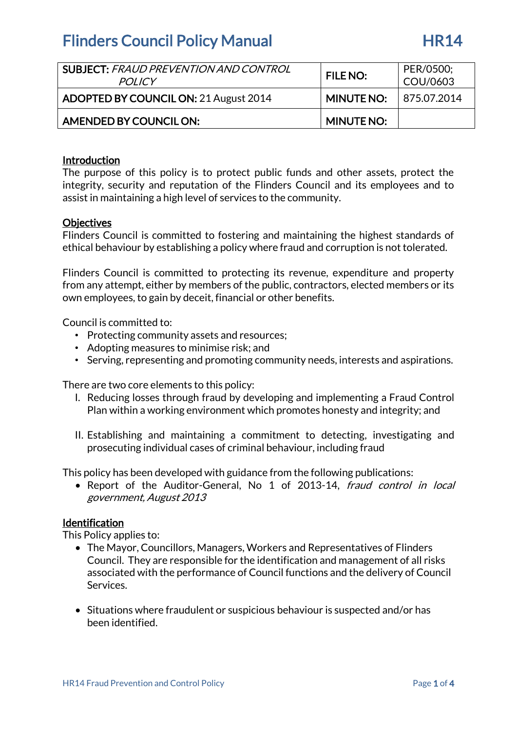| <b>SUBJECT: FRAUD PREVENTION AND CONTROL</b><br><b>POLICY</b> | <b>FILE NO:</b>                | PER/0500;<br>COU/0603 |
|---------------------------------------------------------------|--------------------------------|-----------------------|
| ADOPTED BY COUNCIL ON: 21 August 2014                         | <b>MINUTE NO: 1875.07.2014</b> |                       |
| AMENDED BY COUNCIL ON:                                        | <b>MINUTE NO:</b>              |                       |

### Introduction

The purpose of this policy is to protect public funds and other assets, protect the integrity, security and reputation of the Flinders Council and its employees and to assist in maintaining a high level of services to the community.

### **Objectives**

Flinders Council is committed to fostering and maintaining the highest standards of ethical behaviour by establishing a policy where fraud and corruption is not tolerated.

Flinders Council is committed to protecting its revenue, expenditure and property from any attempt, either by members of the public, contractors, elected members or its own employees, to gain by deceit, financial or other benefits.

Council is committed to:

- Protecting community assets and resources;
- Adopting measures to minimise risk; and
- Serving, representing and promoting community needs, interests and aspirations.

There are two core elements to this policy:

- I. Reducing losses through fraud by developing and implementing a Fraud Control Plan within a working environment which promotes honesty and integrity; and
- II. Establishing and maintaining a commitment to detecting, investigating and prosecuting individual cases of criminal behaviour, including fraud

This policy has been developed with guidance from the following publications:

• Report of the Auditor-General, No 1 of 2013-14, fraud control in local government, August 2013

#### Identification

This Policy applies to:

- The Mayor, Councillors, Managers, Workers and Representatives of Flinders Council. They are responsible for the identification and management of all risks associated with the performance of Council functions and the delivery of Council Services.
- Situations where fraudulent or suspicious behaviour is suspected and/or has been identified.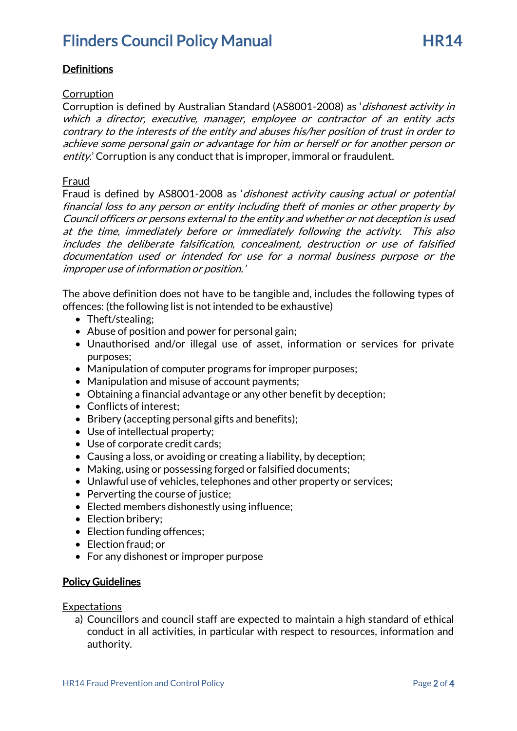### **Definitions**

### Corruption

Corruption is defined by Australian Standard (AS8001-2008) as 'dishonest activity in which a director, executive, manager, employee or contractor of an entity acts contrary to the interests of the entity and abuses his/her position of trust in order to achieve some personal gain or advantage for him or herself or for another person or entity.' Corruption is any conduct that is improper, immoral or fraudulent.

### **Fraud**

Fraud is defined by AS8001-2008 as 'dishonest activity causing actual or potential financial loss to any person or entity including theft of monies or other property by Council officers or persons external to the entity and whether or not deception is used at the time, immediately before or immediately following the activity. This also includes the deliberate falsification, concealment, destruction or use of falsified documentation used or intended for use for a normal business purpose or the improper use of information or position.'

The above definition does not have to be tangible and, includes the following types of offences: (the following list is not intended to be exhaustive)

- Theft/stealing;
- Abuse of position and power for personal gain;
- Unauthorised and/or illegal use of asset, information or services for private purposes;
- Manipulation of computer programs for improper purposes;
- Manipulation and misuse of account payments;
- Obtaining a financial advantage or any other benefit by deception;
- Conflicts of interest:
- Bribery (accepting personal gifts and benefits);
- Use of intellectual property;
- Use of corporate credit cards;
- Causing a loss, or avoiding or creating a liability, by deception;
- Making, using or possessing forged or falsified documents;
- Unlawful use of vehicles, telephones and other property or services;
- Perverting the course of justice;
- Elected members dishonestly using influence;
- Election bribery;
- Election funding offences;
- Election fraud; or
- For any dishonest or improper purpose

### **Policy Guidelines**

**Expectations** 

a) Councillors and council staff are expected to maintain a high standard of ethical conduct in all activities, in particular with respect to resources, information and authority.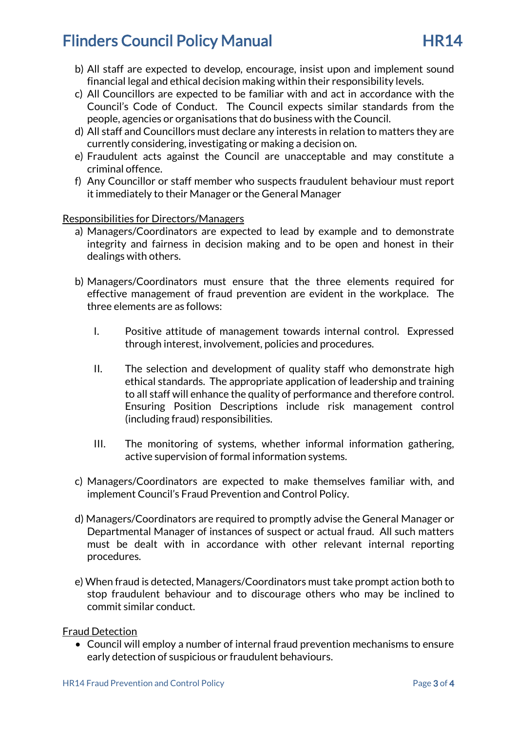- b) All staff are expected to develop, encourage, insist upon and implement sound financial legal and ethical decision making within their responsibility levels.
- c) All Councillors are expected to be familiar with and act in accordance with the Council's Code of Conduct. The Council expects similar standards from the people, agencies or organisations that do business with the Council.
- d) All staff and Councillors must declare any interests in relation to matters they are currently considering, investigating or making a decision on.
- e) Fraudulent acts against the Council are unacceptable and may constitute a criminal offence.
- f) Any Councillor or staff member who suspects fraudulent behaviour must report it immediately to their Manager or the General Manager

### Responsibilities for Directors/Managers

- a) Managers/Coordinators are expected to lead by example and to demonstrate integrity and fairness in decision making and to be open and honest in their dealings with others.
- b) Managers/Coordinators must ensure that the three elements required for effective management of fraud prevention are evident in the workplace. The three elements are as follows:
	- I. Positive attitude of management towards internal control. Expressed through interest, involvement, policies and procedures.
	- II. The selection and development of quality staff who demonstrate high ethical standards. The appropriate application of leadership and training to all staff will enhance the quality of performance and therefore control. Ensuring Position Descriptions include risk management control (including fraud) responsibilities.
	- III. The monitoring of systems, whether informal information gathering, active supervision of formal information systems.
- c) Managers/Coordinators are expected to make themselves familiar with, and implement Council's Fraud Prevention and Control Policy.
- d) Managers/Coordinators are required to promptly advise the General Manager or Departmental Manager of instances of suspect or actual fraud. All such matters must be dealt with in accordance with other relevant internal reporting procedures.
- e) When fraud is detected, Managers/Coordinators must take prompt action both to stop fraudulent behaviour and to discourage others who may be inclined to commit similar conduct.

#### Fraud Detection

• Council will employ a number of internal fraud prevention mechanisms to ensure early detection of suspicious or fraudulent behaviours.